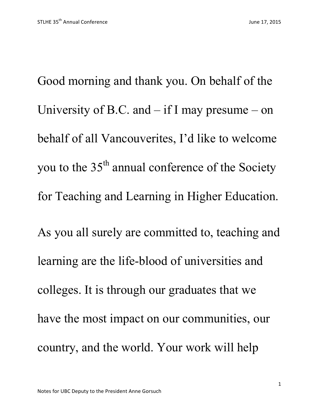Good morning and thank you. On behalf of the University of B.C. and  $-$  if I may presume  $-$  on behalf of all Vancouverites, I'd like to welcome you to the  $35<sup>th</sup>$  annual conference of the Society for Teaching and Learning in Higher Education. As you all surely are committed to, teaching and learning are the life-blood of universities and colleges. It is through our graduates that we have the most impact on our communities, our country, and the world. Your work will help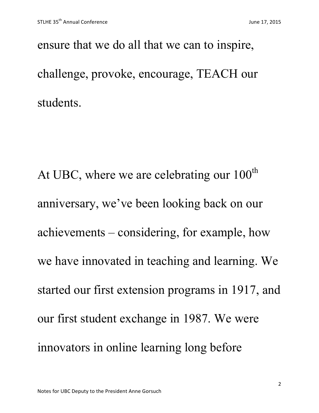ensure that we do all that we can to inspire, challenge, provoke, encourage, TEACH our students.

At UBC, where we are celebrating our  $100<sup>th</sup>$ anniversary, we've been looking back on our achievements – considering, for example, how we have innovated in teaching and learning. We started our first extension programs in 1917, and our first student exchange in 1987. We were innovators in online learning long before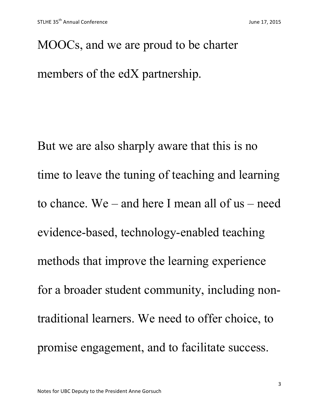MOOCs, and we are proud to be charter members of the edX partnership.

But we are also sharply aware that this is no time to leave the tuning of teaching and learning to chance. We – and here I mean all of us – need evidence-based, technology-enabled teaching methods that improve the learning experience for a broader student community, including nontraditional learners. We need to offer choice, to promise engagement, and to facilitate success.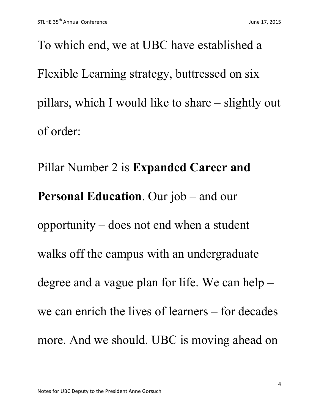To which end, we at UBC have established a Flexible Learning strategy, buttressed on six pillars, which I would like to share – slightly out of order:

Pillar Number 2 is **Expanded Career and Personal Education**. Our job – and our opportunity – does not end when a student walks off the campus with an undergraduate degree and a vague plan for life. We can help – we can enrich the lives of learners – for decades more. And we should. UBC is moving ahead on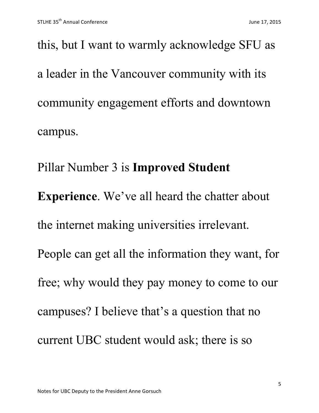this, but I want to warmly acknowledge SFU as a leader in the Vancouver community with its community engagement efforts and downtown campus.

Pillar Number 3 is **Improved Student Experience**. We've all heard the chatter about the internet making universities irrelevant. People can get all the information they want, for free; why would they pay money to come to our campuses? I believe that's a question that no current UBC student would ask; there is so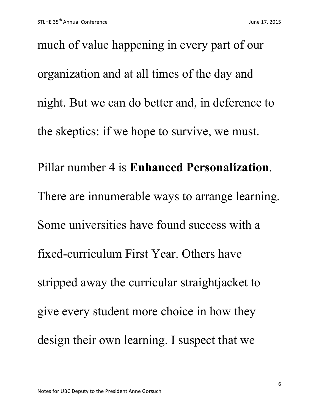much of value happening in every part of our organization and at all times of the day and night. But we can do better and, in deference to the skeptics: if we hope to survive, we must. Pillar number 4 is **Enhanced Personalization**. There are innumerable ways to arrange learning. Some universities have found success with a fixed-curriculum First Year. Others have stripped away the curricular straightjacket to give every student more choice in how they design their own learning. I suspect that we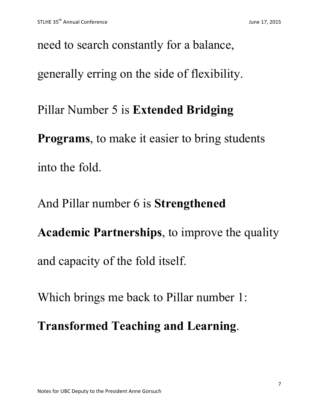need to search constantly for a balance, generally erring on the side of flexibility. Pillar Number 5 is **Extended Bridging Programs**, to make it easier to bring students into the fold.

And Pillar number 6 is **Strengthened** 

**Academic Partnerships**, to improve the quality and capacity of the fold itself.

Which brings me back to Pillar number 1:

**Transformed Teaching and Learning**.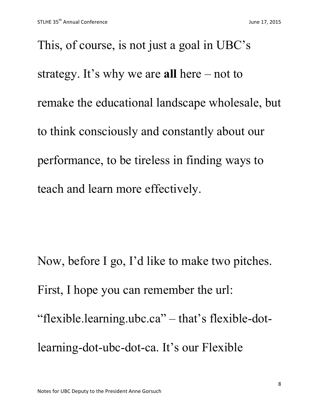This, of course, is not just a goal in UBC's strategy. It's why we are **all** here – not to remake the educational landscape wholesale, but to think consciously and constantly about our performance, to be tireless in finding ways to teach and learn more effectively.

Now, before I go, I'd like to make two pitches. First, I hope you can remember the url: "flexible.learning.ubc.ca" – that's flexible-dotlearning-dot-ubc-dot-ca. It's our Flexible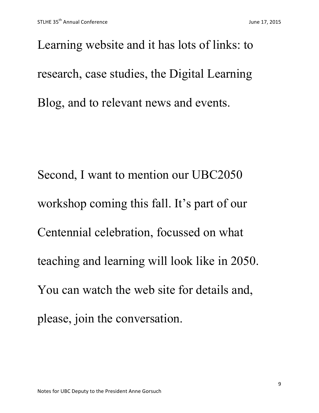Learning website and it has lots of links: to research, case studies, the Digital Learning Blog, and to relevant news and events.

Second, I want to mention our UBC2050 workshop coming this fall. It's part of our Centennial celebration, focussed on what teaching and learning will look like in 2050. You can watch the web site for details and, please, join the conversation.